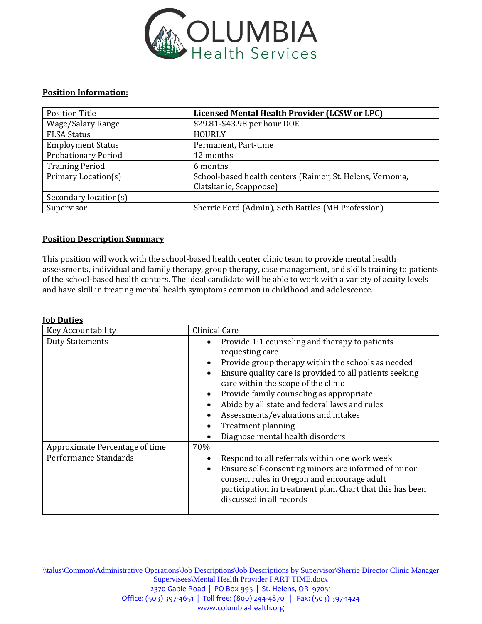

## **Position Information:**

| Position Title             | Licensed Mental Health Provider (LCSW or LPC)               |  |  |
|----------------------------|-------------------------------------------------------------|--|--|
| Wage/Salary Range          | \$29.81-\$43.98 per hour DOE                                |  |  |
| <b>FLSA Status</b>         | <b>HOURLY</b>                                               |  |  |
| <b>Employment Status</b>   | Permanent, Part-time                                        |  |  |
| <b>Probationary Period</b> | 12 months                                                   |  |  |
| <b>Training Period</b>     | 6 months                                                    |  |  |
| Primary Location(s)        | School-based health centers (Rainier, St. Helens, Vernonia, |  |  |
|                            | Clatskanie, Scappoose)                                      |  |  |
| Secondary location(s)      |                                                             |  |  |
| Supervisor                 | Sherrie Ford (Admin), Seth Battles (MH Profession)          |  |  |

## **Position Description Summary**

**Job Duties**

This position will work with the school-based health center clinic team to provide mental health assessments, individual and family therapy, group therapy, case management, and skills training to patients of the school-based health centers. The ideal candidate will be able to work with a variety of acuity levels and have skill in treating mental health symptoms common in childhood and adolescence.

| Clinical Care                                                                                                                                                                                                                                                                                                                                                                                                                                                              |  |
|----------------------------------------------------------------------------------------------------------------------------------------------------------------------------------------------------------------------------------------------------------------------------------------------------------------------------------------------------------------------------------------------------------------------------------------------------------------------------|--|
| Provide 1:1 counseling and therapy to patients<br>٠<br>requesting care<br>Provide group therapy within the schools as needed<br>$\bullet$<br>Ensure quality care is provided to all patients seeking<br>care within the scope of the clinic<br>Provide family counseling as appropriate<br>$\bullet$<br>Abide by all state and federal laws and rules<br>Assessments/evaluations and intakes<br><b>Treatment planning</b><br>$\bullet$<br>Diagnose mental health disorders |  |
| 70%                                                                                                                                                                                                                                                                                                                                                                                                                                                                        |  |
| Respond to all referrals within one work week<br>$\bullet$<br>Ensure self-consenting minors are informed of minor<br>$\bullet$<br>consent rules in Oregon and encourage adult<br>participation in treatment plan. Chart that this has been<br>discussed in all records                                                                                                                                                                                                     |  |
|                                                                                                                                                                                                                                                                                                                                                                                                                                                                            |  |

\\talus\Common\Administrative Operations\Job Descriptions\Job Descriptions by Supervisor\Sherrie Director Clinic Manager Supervisees\Mental Health Provider PART TIME.docx 2370 Gable Road | PO Box 995 | St. Helens, OR 97051 Office: (503) 397-4651 | Toll free: (800) 244-4870 | Fax: (503) 397-1424 www.columbia-health.org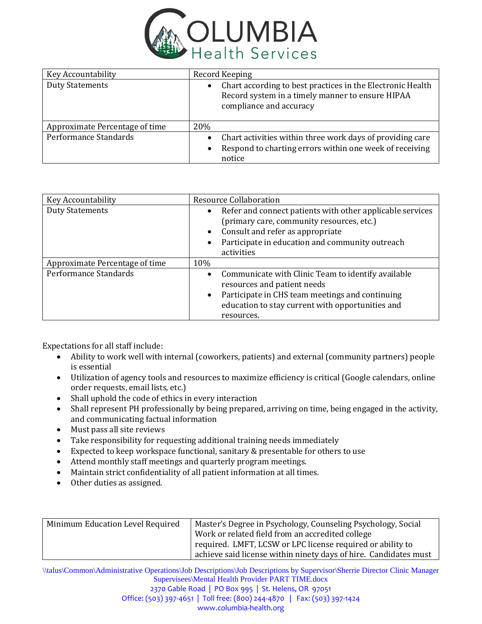

| Key Accountability             | Record Keeping                                                                                                                                           |  |  |
|--------------------------------|----------------------------------------------------------------------------------------------------------------------------------------------------------|--|--|
| <b>Duty Statements</b>         | Chart according to best practices in the Electronic Health<br>$\bullet$<br>Record system in a timely manner to ensure HIPAA<br>compliance and accuracy   |  |  |
| Approximate Percentage of time | 20%                                                                                                                                                      |  |  |
| Performance Standards          | Chart activities within three work days of providing care<br>$\bullet$<br>Respond to charting errors within one week of receiving<br>$\bullet$<br>notice |  |  |

| Key Accountability             | <b>Resource Collaboration</b>                                                                                                                                                                                                                      |  |  |
|--------------------------------|----------------------------------------------------------------------------------------------------------------------------------------------------------------------------------------------------------------------------------------------------|--|--|
| <b>Duty Statements</b>         | Refer and connect patients with other applicable services<br>$\bullet$<br>(primary care, community resources, etc.)<br>Consult and refer as appropriate<br>$\bullet$<br>Participate in education and community outreach<br>$\bullet$<br>activities |  |  |
| Approximate Percentage of time | 10%                                                                                                                                                                                                                                                |  |  |
| Performance Standards          | Communicate with Clinic Team to identify available<br>$\bullet$<br>resources and patient needs<br>Participate in CHS team meetings and continuing<br>$\bullet$<br>education to stay current with opportunities and<br>resources.                   |  |  |

Expectations for all staff include:

- Ability to work well with internal (coworkers, patients) and external (community partners) people is essential
- Utilization of agency tools and resources to maximize efficiency is critical (Google calendars, online order requests, email lists, etc.)
- Shall uphold the code of ethics in every interaction
- Shall represent PH professionally by being prepared, arriving on time, being engaged in the activity, and communicating factual information
- Must pass all site reviews
- Take responsibility for requesting additional training needs immediately
- Expected to keep workspace functional, sanitary & presentable for others to use
- Attend monthly staff meetings and quarterly program meetings.
- Maintain strict confidentiality of all patient information at all times.
- Other duties as assigned.

| Minimum Education Level Required | Master's Degree in Psychology, Counseling Psychology, Social     |
|----------------------------------|------------------------------------------------------------------|
|                                  | Work or related field from an accredited college                 |
|                                  | required. LMFT, LCSW or LPC license required or ability to       |
|                                  | achieve said license within ninety days of hire. Candidates must |

\\talus\Common\Administrative Operations\Job Descriptions\Job Descriptions by Supervisor\Sherrie Director Clinic Manager Supervisees\Mental Health Provider PART TIME.docx 2370 Gable Road | PO Box 995 | St. Helens, OR 97051 Office: (503) 397-4651 | Toll free: (800) 244-4870 | Fax: (503) 397-1424 www.columbia-health.org